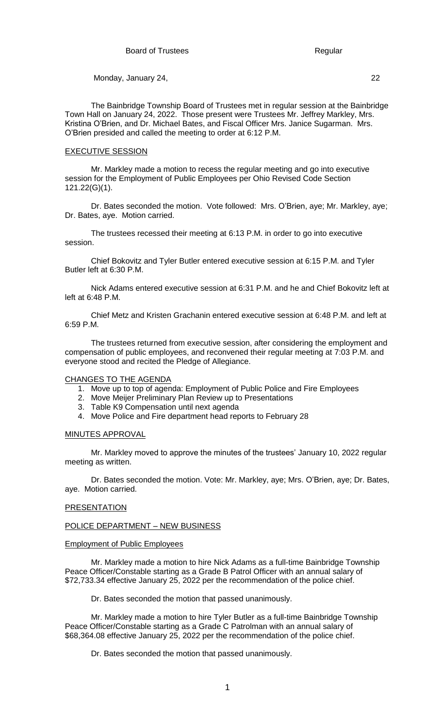Monday, January 24, 22

The Bainbridge Township Board of Trustees met in regular session at the Bainbridge Town Hall on January 24, 2022. Those present were Trustees Mr. Jeffrey Markley, Mrs. Kristina O'Brien, and Dr. Michael Bates, and Fiscal Officer Mrs. Janice Sugarman. Mrs. O'Brien presided and called the meeting to order at 6:12 P.M.

### EXECUTIVE SESSION

Mr. Markley made a motion to recess the regular meeting and go into executive session for the Employment of Public Employees per Ohio Revised Code Section 121.22(G)(1).

Dr. Bates seconded the motion. Vote followed: Mrs. O'Brien, aye; Mr. Markley, aye; Dr. Bates, aye. Motion carried.

The trustees recessed their meeting at 6:13 P.M. in order to go into executive session.

Chief Bokovitz and Tyler Butler entered executive session at 6:15 P.M. and Tyler Butler left at 6:30 P.M.

Nick Adams entered executive session at 6:31 P.M. and he and Chief Bokovitz left at left at 6:48 P.M.

Chief Metz and Kristen Grachanin entered executive session at 6:48 P.M. and left at 6:59 P.M.

The trustees returned from executive session, after considering the employment and compensation of public employees, and reconvened their regular meeting at 7:03 P.M. and everyone stood and recited the Pledge of Allegiance.

#### CHANGES TO THE AGENDA

- 1. Move up to top of agenda: Employment of Public Police and Fire Employees
- 2. Move Meijer Preliminary Plan Review up to Presentations
- 3. Table K9 Compensation until next agenda
- 4. Move Police and Fire department head reports to February 28

#### MINUTES APPROVAL

Mr. Markley moved to approve the minutes of the trustees' January 10, 2022 regular meeting as written.

Dr. Bates seconded the motion. Vote: Mr. Markley, aye; Mrs. O'Brien, aye; Dr. Bates, aye. Motion carried.

#### **PRESENTATION**

## POLICE DEPARTMENT – NEW BUSINESS

# Employment of Public Employees

Mr. Markley made a motion to hire Nick Adams as a full-time Bainbridge Township Peace Officer/Constable starting as a Grade B Patrol Officer with an annual salary of \$72,733.34 effective January 25, 2022 per the recommendation of the police chief.

Dr. Bates seconded the motion that passed unanimously.

Mr. Markley made a motion to hire Tyler Butler as a full-time Bainbridge Township Peace Officer/Constable starting as a Grade C Patrolman with an annual salary of \$68,364.08 effective January 25, 2022 per the recommendation of the police chief.

Dr. Bates seconded the motion that passed unanimously.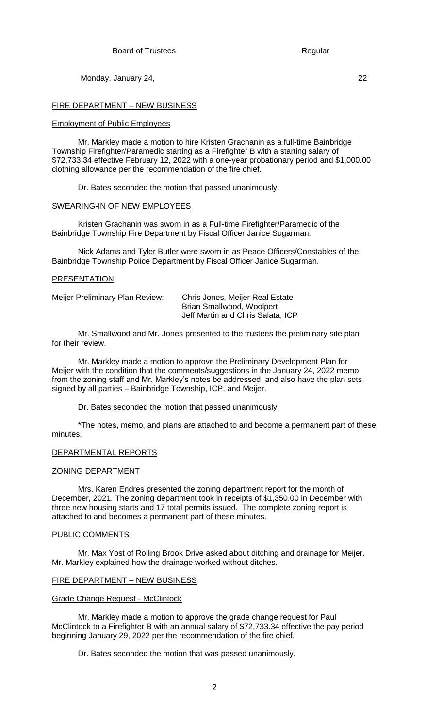Monday, January 24, 22

### FIRE DEPARTMENT – NEW BUSINESS

#### Employment of Public Employees

Mr. Markley made a motion to hire Kristen Grachanin as a full-time Bainbridge Township Firefighter/Paramedic starting as a Firefighter B with a starting salary of \$72,733.34 effective February 12, 2022 with a one-year probationary period and \$1,000.00 clothing allowance per the recommendation of the fire chief.

Dr. Bates seconded the motion that passed unanimously.

#### SWEARING-IN OF NEW EMPLOYEES

Kristen Grachanin was sworn in as a Full-time Firefighter/Paramedic of the Bainbridge Township Fire Department by Fiscal Officer Janice Sugarman.

Nick Adams and Tyler Butler were sworn in as Peace Officers/Constables of the Bainbridge Township Police Department by Fiscal Officer Janice Sugarman.

#### PRESENTATION

Meijer Preliminary Plan Review: Chris Jones, Meijer Real Estate

Brian Smallwood, Woolpert Jeff Martin and Chris Salata, ICP

Mr. Smallwood and Mr. Jones presented to the trustees the preliminary site plan for their review.

Mr. Markley made a motion to approve the Preliminary Development Plan for Meijer with the condition that the comments/suggestions in the January 24, 2022 memo from the zoning staff and Mr. Markley's notes be addressed, and also have the plan sets signed by all parties – Bainbridge Township, ICP, and Meijer.

Dr. Bates seconded the motion that passed unanimously.

\*The notes, memo, and plans are attached to and become a permanent part of these minutes.

## DEPARTMENTAL REPORTS

## ZONING DEPARTMENT

Mrs. Karen Endres presented the zoning department report for the month of December, 2021. The zoning department took in receipts of \$1,350.00 in December with three new housing starts and 17 total permits issued. The complete zoning report is attached to and becomes a permanent part of these minutes.

#### PUBLIC COMMENTS

Mr. Max Yost of Rolling Brook Drive asked about ditching and drainage for Meijer. Mr. Markley explained how the drainage worked without ditches.

## FIRE DEPARTMENT – NEW BUSINESS

#### Grade Change Request - McClintock

Mr. Markley made a motion to approve the grade change request for Paul McClintock to a Firefighter B with an annual salary of \$72,733.34 effective the pay period beginning January 29, 2022 per the recommendation of the fire chief.

Dr. Bates seconded the motion that was passed unanimously.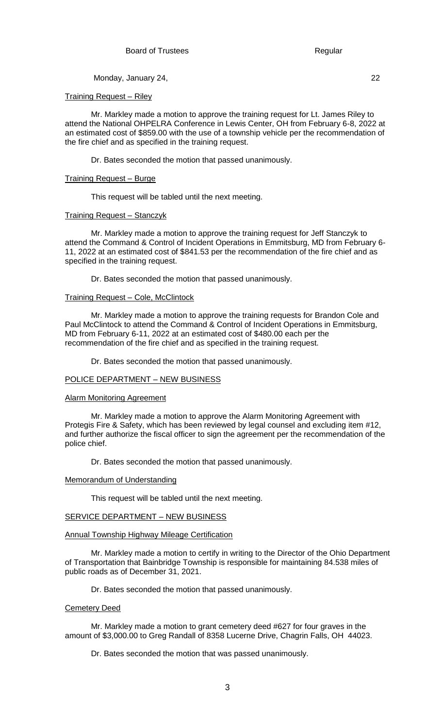Monday, January 24, 22

### Training Request – Riley

Mr. Markley made a motion to approve the training request for Lt. James Riley to attend the National OHPELRA Conference in Lewis Center, OH from February 6-8, 2022 at an estimated cost of \$859.00 with the use of a township vehicle per the recommendation of the fire chief and as specified in the training request.

Dr. Bates seconded the motion that passed unanimously.

#### Training Request – Burge

This request will be tabled until the next meeting.

#### Training Request – Stanczyk

Mr. Markley made a motion to approve the training request for Jeff Stanczyk to attend the Command & Control of Incident Operations in Emmitsburg, MD from February 6- 11, 2022 at an estimated cost of \$841.53 per the recommendation of the fire chief and as specified in the training request.

Dr. Bates seconded the motion that passed unanimously.

#### **Training Request - Cole, McClintock**

Mr. Markley made a motion to approve the training requests for Brandon Cole and Paul McClintock to attend the Command & Control of Incident Operations in Emmitsburg, MD from February 6-11, 2022 at an estimated cost of \$480.00 each per the recommendation of the fire chief and as specified in the training request.

Dr. Bates seconded the motion that passed unanimously.

### POLICE DEPARTMENT – NEW BUSINESS

#### Alarm Monitoring Agreement

Mr. Markley made a motion to approve the Alarm Monitoring Agreement with Protegis Fire & Safety, which has been reviewed by legal counsel and excluding item #12, and further authorize the fiscal officer to sign the agreement per the recommendation of the police chief.

Dr. Bates seconded the motion that passed unanimously.

#### Memorandum of Understanding

This request will be tabled until the next meeting.

## SERVICE DEPARTMENT – NEW BUSINESS

#### Annual Township Highway Mileage Certification

Mr. Markley made a motion to certify in writing to the Director of the Ohio Department of Transportation that Bainbridge Township is responsible for maintaining 84.538 miles of public roads as of December 31, 2021.

Dr. Bates seconded the motion that passed unanimously.

#### **Cemetery Deed**

Mr. Markley made a motion to grant cemetery deed #627 for four graves in the amount of \$3,000.00 to Greg Randall of 8358 Lucerne Drive, Chagrin Falls, OH 44023.

Dr. Bates seconded the motion that was passed unanimously.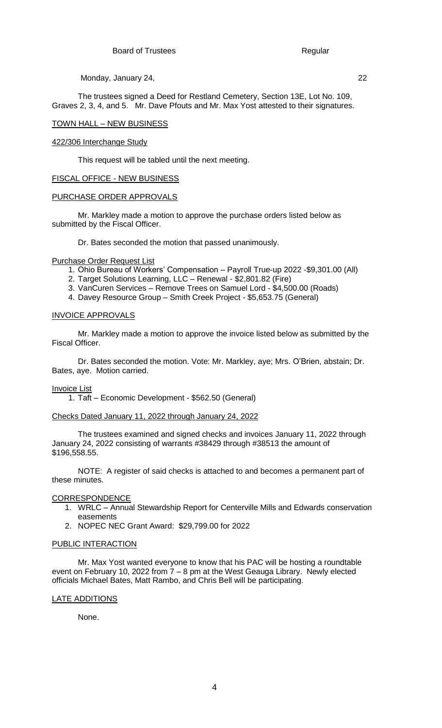Board of Trustees Regular

Monday, January 24, 22

The trustees signed a Deed for Restland Cemetery, Section 13E, Lot No. 109, Graves 2, 3, 4, and 5. Mr. Dave Pfouts and Mr. Max Yost attested to their signatures.

# TOWN HALL – NEW BUSINESS

# 422/306 Interchange Study

This request will be tabled until the next meeting.

# FISCAL OFFICE - NEW BUSINESS

## PURCHASE ORDER APPROVALS

Mr. Markley made a motion to approve the purchase orders listed below as submitted by the Fiscal Officer.

Dr. Bates seconded the motion that passed unanimously.

Purchase Order Request List

- 1. Ohio Bureau of Workers' Compensation Payroll True-up 2022 -\$9,301.00 (All)
- 2. Target Solutions Learning, LLC Renewal \$2,801.82 (Fire)
- 3. VanCuren Services Remove Trees on Samuel Lord \$4,500.00 (Roads)
- 4. Davey Resource Group Smith Creek Project \$5,653.75 (General)

# INVOICE APPROVALS

Mr. Markley made a motion to approve the invoice listed below as submitted by the Fiscal Officer.

Dr. Bates seconded the motion. Vote: Mr. Markley, aye; Mrs. O'Brien, abstain; Dr. Bates, aye. Motion carried.

## Invoice List

1. Taft – Economic Development - \$562.50 (General)

# Checks Dated January 11, 2022 through January 24, 2022

The trustees examined and signed checks and invoices January 11, 2022 through January 24, 2022 consisting of warrants #38429 through #38513 the amount of \$196,558.55.

NOTE: A register of said checks is attached to and becomes a permanent part of these minutes.

## CORRESPONDENCE

- 1. WRLC Annual Stewardship Report for Centerville Mills and Edwards conservation easements
- 2. NOPEC NEC Grant Award: \$29,799.00 for 2022

# PUBLIC INTERACTION

Mr. Max Yost wanted everyone to know that his PAC will be hosting a roundtable event on February 10, 2022 from 7 – 8 pm at the West Geauga Library. Newly elected officials Michael Bates, Matt Rambo, and Chris Bell will be participating.

## LATE ADDITIONS

None.